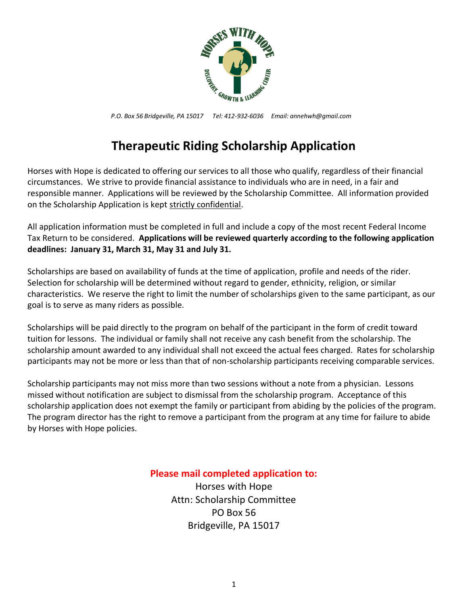

*P.O. Box 56 Bridgeville, PA 15017 Tel: 412-932-6036 Email: annehwh@gmail.com*

# **Therapeutic Riding Scholarship Application**

Horses with Hope is dedicated to offering our services to all those who qualify, regardless of their financial circumstances. We strive to provide financial assistance to individuals who are in need, in a fair and responsible manner. Applications will be reviewed by the Scholarship Committee. All information provided on the Scholarship Application is kept strictly confidential.

All application information must be completed in full and include a copy of the most recent Federal Income Tax Return to be considered. **Applications will be reviewed quarterly according to the following application deadlines: January 31, March 31, May 31 and July 31.** 

Scholarships are based on availability of funds at the time of application, profile and needs of the rider. Selection for scholarship will be determined without regard to gender, ethnicity, religion, or similar characteristics. We reserve the right to limit the number of scholarships given to the same participant, as our goal is to serve as many riders as possible.

Scholarships will be paid directly to the program on behalf of the participant in the form of credit toward tuition for lessons. The individual or family shall not receive any cash benefit from the scholarship. The scholarship amount awarded to any individual shall not exceed the actual fees charged. Rates for scholarship participants may not be more or less than that of non-scholarship participants receiving comparable services.

Scholarship participants may not miss more than two sessions without a note from a physician. Lessons missed without notification are subject to dismissal from the scholarship program. Acceptance of this scholarship application does not exempt the family or participant from abiding by the policies of the program. The program director has the right to remove a participant from the program at any time for failure to abide by Horses with Hope policies.

#### **Please mail completed application to:**

Horses with Hope Attn: Scholarship Committee PO Box 56 Bridgeville, PA 15017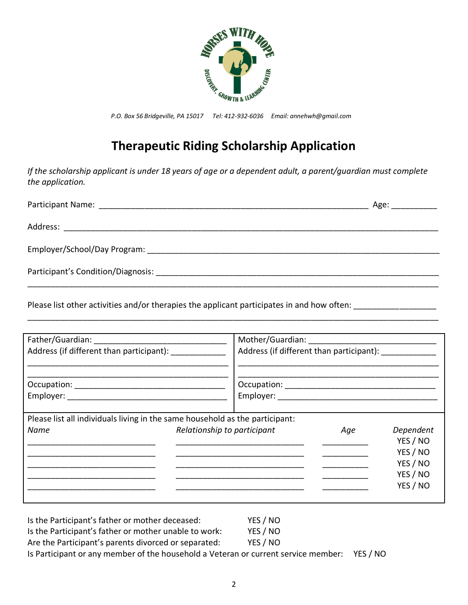

*P.O. Box 56 Bridgeville, PA 15017 Tel: 412-932-6036 Email: annehwh@gmail.com*

## **Therapeutic Riding Scholarship Application**

*If the scholarship applicant is under 18 years of age or a dependent adult, a parent/guardian must complete the application.* 

|                                                                                                                | Age: ____________ |
|----------------------------------------------------------------------------------------------------------------|-------------------|
|                                                                                                                |                   |
|                                                                                                                |                   |
| Participant's Condition/Diagnosis: Note that the conditional property of the condition of the condition of the |                   |
|                                                                                                                |                   |

\_\_\_\_\_\_\_\_\_\_\_\_\_\_\_\_\_\_\_\_\_\_\_\_\_\_\_\_\_\_\_\_\_\_\_\_\_\_\_\_\_\_\_\_\_\_\_\_\_\_\_\_\_\_\_\_\_\_\_\_\_\_\_\_\_\_\_\_\_\_\_\_\_\_\_\_\_\_\_\_\_\_\_\_\_\_\_\_\_\_

Please list other activities and/or therapies the applicant participates in and how often: \_\_\_\_\_\_\_\_\_\_\_\_\_\_\_\_\_\_\_

| Address (if different than participant): _____________                       |                             |     |                                                                       |
|------------------------------------------------------------------------------|-----------------------------|-----|-----------------------------------------------------------------------|
|                                                                              |                             |     |                                                                       |
| Please list all individuals living in the same household as the participant: |                             |     |                                                                       |
| Name                                                                         | Relationship to participant | Age | Dependent<br>YES / NO<br>YES / NO<br>YES / NO<br>YES / NO<br>YES / NO |

| Is the Participant's father or mother deceased:                                    | YES / NO |          |
|------------------------------------------------------------------------------------|----------|----------|
| Is the Participant's father or mother unable to work:                              | YES / NO |          |
| Are the Participant's parents divorced or separated:                               | YES / NO |          |
| Is Participant or any member of the household a Veteran or current service member: |          | YES / NO |